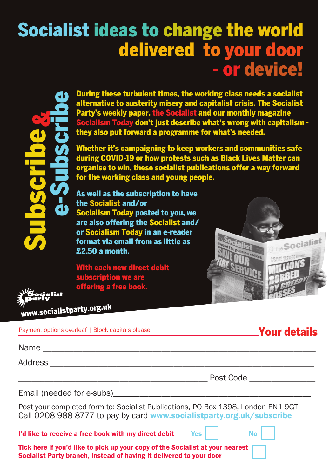## Socialist ideas to change the world delivered to your door - or device!



During these turbulent times, the working class needs a socialist alternative to austerity misery and capitalist crisis. The Socialist Party's weekly paper, the Socialist and our monthly magazine ocialism Today don't just describe what's wrong with capitalism they also put forward a programme for what's needed.

Whether it's campaigning to keep workers and communities safe during COVID-19 or how protests such as Black Lives Matter can organise to win, these socialist publications offer a way forward for the working class and young people.

As well as the subscription to have the Socialist and/or Socialism Today posted to you, we are also offering the Socialist and/ or Socialism Today in an e-reader format via email from as little as £2.50 a month.

With each new direct debit subscription we are . .<br>offering a free book.



Your details

| iocialist<br>arty |
|-------------------|
|                   |
|                   |
| www socialistpa   |

|  | Payment options overleaf   Block capitals please |  |  |
|--|--------------------------------------------------|--|--|
|  |                                                  |  |  |

rty.org.uk

| $N_{\mathcal{D}}$<br>'N. |  |
|--------------------------|--|
|                          |  |

Address \_\_\_\_\_\_\_\_\_\_\_\_\_\_\_\_\_\_\_\_\_\_\_\_\_\_\_\_\_\_\_\_\_\_\_\_\_\_\_\_\_\_\_\_\_\_\_\_\_\_\_\_\_\_\_\_\_\_\_\_

|--|

Email (needed for e-subs)

Post your completed form to: Socialist Publications, PO Box 1398, London EN1 9GT Call 0208 988 8777 to pay by card www.socialistparty.org.uk/subscribe

I'd like to receive a free book with my direct debit  $Yes$   $\parallel$  No

Tick here if you'd like to pick up your copy of the Socialist at your nearest